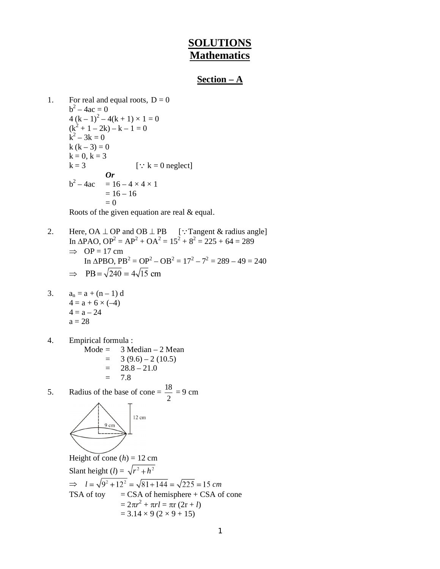# **SOLUTIONS Mathematics**

## **Section – A**

```
1. For real and equal roots, D = 0b^2 - 4ac = 04(k-1)^2 - 4(k+1) \times 1 = 0(k^2 + 1 - 2k) - k - 1 = 0k^2 - 3k = 0k (k - 3) = 0k = 0, k = 3k = 3 [: k = 0 neglect]
           Or 
b^2 - 4ac= 16 - 4 \times 4 \times 1= 16 - 16= 0
```
Roots of the given equation are real & equal.

2. Here,  $OA \perp OP$  and  $OB \perp PB$  [: Tangent & radius angle] In  $\triangle$ PAO,  $OP^2 = AP^2 + OA^2 = 15^2 + 8^2 = 225 + 64 = 289$  $\implies$  OP = 17 cm In  $\triangle PBO$ ,  $PB^2 = OP^2 - OB^2 = 17^2 - 7^2 = 289 - 49 = 240$  $\Rightarrow$  PB =  $\sqrt{240}$  = 4 $\sqrt{15}$  cm

3. 
$$
a_n = a + (n-1) d
$$
  
\n $4 = a + 6 \times (-4)$   
\n $4 = a - 24$   
\n $a = 28$ 

4. Empirical formula :

 Mode = 3 Median – 2 Mean = 3 (9.6) – 2 (10.5) = 28.8 – 21.0 = 7.8

5. Radius of the base of cone =  $\frac{18}{18}$ 2  $= 9 \text{ cm}$ 



Height of cone  $(h) = 12$  cm Slant height (*l*) =  $\sqrt{r^2 + h^2}$  $\Rightarrow$   $l = \sqrt{9^2 + 12^2} = \sqrt{81 + 144} = \sqrt{225} = 15$  cm TSA of toy  $=$  CSA of hemisphere + CSA of cone  $= 2\pi r^2 + \pi rl = \pi r (2r + l)$  $= 3.14 \times 9 (2 \times 9 + 15)$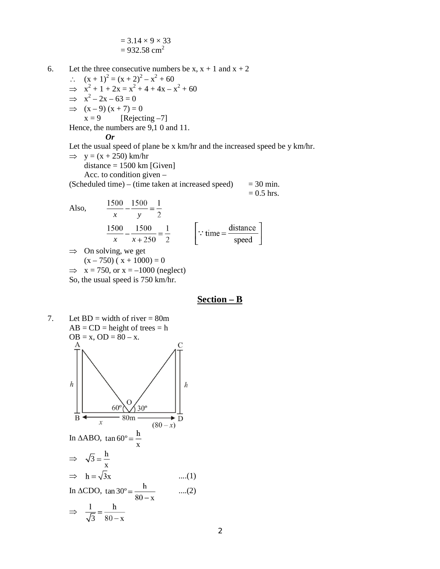$$
= 3.14 \times 9 \times 33
$$

$$
= 932.58
$$
 cm<sup>2</sup>

6. Let the three consecutive numbers be  $x, x + 1$  and  $x + 2$ 

 $(x + 1)^2 = (x + 2)^2 - x^2 + 60$  $\implies x^2 + 1 + 2x = x^2 + 4 + 4x - x^2 + 60$  $\implies$   $x^2 - 2x - 63 = 0$  $\Rightarrow$   $(x - 9)(x + 7) = 0$ 

 $x = 9$  [Rejecting -7]

Hence, the numbers are 9,1 0 and 11.

#### *Or*

Let the usual speed of plane be x km/hr and the increased speed be y km/hr.

$$
\Rightarrow y = (x + 250) \text{ km/hr}
$$
  
distance = 1500 km [Given]

Acc. to condition given –

(Scheduled time) – (time taken at increased speed)  $= 30$  min.

 $= 0.5$  hrs.

Also, 
$$
\frac{1500}{x} - \frac{1500}{y} = \frac{1}{2}
$$

$$
\frac{1500}{x} - \frac{1500}{x + 250} = \frac{1}{2}
$$
 
$$
\left[\because \text{ time} = \frac{\text{distance}}{\text{speed}}\right]
$$

 $\Rightarrow$  On solving, we get  $(x - 750)$  ( $x + 1000$ ) = 0

$$
\Rightarrow x = 750, \text{ or } x = -1000 \text{ (neglect)}
$$

So, the usual speed is 750 km/hr.

# **Section – B**

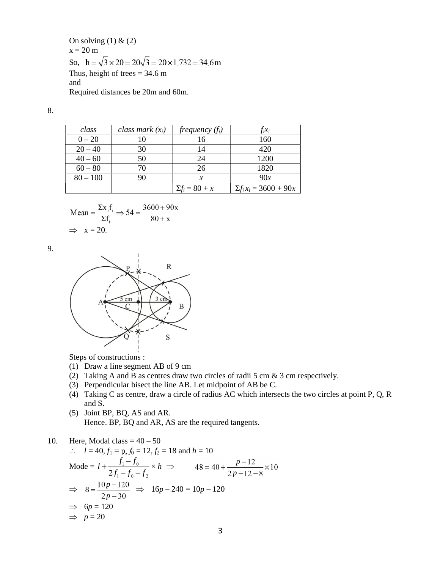On solving  $(1)$  &  $(2)$  $x = 20$  m So,  $h = \sqrt{3} \times 20 = 20\sqrt{3} = 20 \times 1.732 = 34.6 \text{m}$ Thus, height of trees  $= 34.6$  m and Required distances be 20m and 60m.

8.

| class      | class mark $(x_i)$ | frequency $(f_i)$     | $f_i x_i$                     |
|------------|--------------------|-----------------------|-------------------------------|
| $0 - 20$   | 10                 |                       | 160                           |
| $20 - 40$  | 30                 |                       | 420                           |
| $40 - 60$  | 50                 | 24                    | 1200                          |
| $60 - 80$  | 70                 | 26                    | 1820                          |
| $80 - 100$ | 90                 |                       | 90x                           |
|            |                    | $\Sigma f_i = 80 + x$ | $\Sigma f_i x_i = 3600 + 90x$ |

Mean = 
$$
\frac{\Sigma x_i f_i}{\Sigma f_i}
$$
  $\Rightarrow$  54 =  $\frac{3600 + 90x}{80 + x}$   
\n $\Rightarrow$  x = 20.

9.



Steps of constructions :

- (1) Draw a line segment AB of 9 cm
- (2) Taking A and B as centres draw two circles of radii 5 cm & 3 cm respectively.
- (3) Perpendicular bisect the line AB. Let midpoint of AB be C.
- (4) Taking C as centre, draw a circle of radius AC which intersects the two circles at point P, Q, R and S.
- (5) Joint BP, BQ, AS and AR. Hence. BP, BQ and AR, AS are the required tangents.

#### 10. Here, Modal class  $= 40 - 50$

$$
l = 40, f_1 = p, f_0 = 12, f_2 = 18 \text{ and } h = 10
$$
  
\nMode =  $l + \frac{f_1 - f_0}{2f_1 - f_0 - f_2} \times h \implies 48 = 40 + \frac{p - 12}{2p - 12 - 8} \times 10$   
\n $\implies 8 = \frac{10p - 120}{2p - 30} \implies 16p - 240 = 10p - 120$   
\n $\implies 6p = 120$   
\n $\implies p = 20$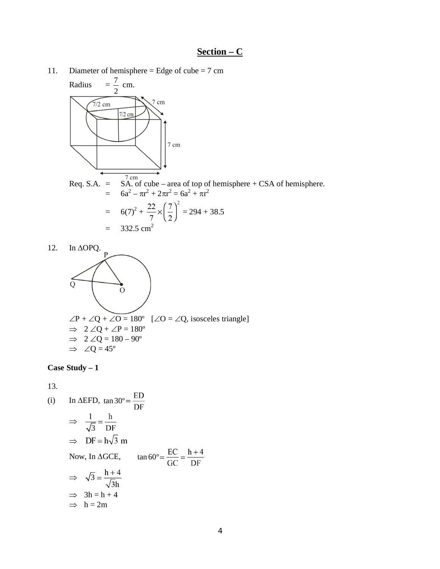# **Section – C**

11. Diameter of hemisphere = Edge of cube =  $7 \text{ cm}$ 



Req. S.A. =  $\overrightarrow{SA}$ . of cube – area of top of hemisphere + CSA of hemisphere.  $= 6a^2 - \pi r^2 + 2\pi r^2 = 6a^2 + \pi r^2$  $= 6(7)^2 + \frac{22}{7} \times \left| \frac{7}{8} \right| = 294 + 38.5$  $= 332.5$  cm<sup>2</sup>

$$
= 552.3
$$



# **Case Study – 1**

13.

(i) In 
$$
\triangle EFD
$$
,  $\tan 30^\circ = \frac{ED}{DF}$   
\n $\Rightarrow \frac{1}{\sqrt{3}} = \frac{h}{DF}$   
\n $\Rightarrow DF = h\sqrt{3} m$   
\nNow, In  $\triangle GCE$ ,  $\tan 60^\circ = \frac{EC}{GC} = \frac{h+4}{DF}$   
\n $\Rightarrow \sqrt{3} = \frac{h+4}{\sqrt{3}h}$   
\n $\Rightarrow 3h = h + 4$   
\n $\Rightarrow h = 2m$